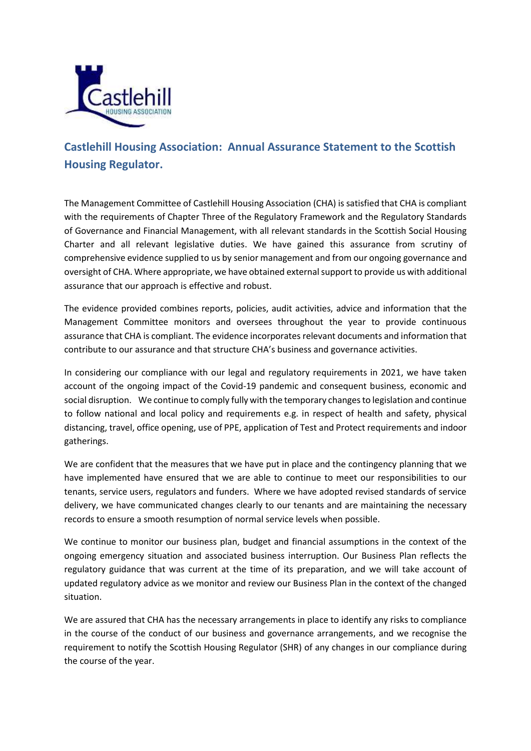

## **Castlehill Housing Association: Annual Assurance Statement to the Scottish Housing Regulator.**

The Management Committee of Castlehill Housing Association (CHA) is satisfied that CHA is compliant with the requirements of Chapter Three of the Regulatory Framework and the Regulatory Standards of Governance and Financial Management, with all relevant standards in the Scottish Social Housing Charter and all relevant legislative duties. We have gained this assurance from scrutiny of comprehensive evidence supplied to us by senior management and from our ongoing governance and oversight of CHA. Where appropriate, we have obtained external support to provide us with additional assurance that our approach is effective and robust.

The evidence provided combines reports, policies, audit activities, advice and information that the Management Committee monitors and oversees throughout the year to provide continuous assurance that CHA is compliant. The evidence incorporates relevant documents and information that contribute to our assurance and that structure CHA's business and governance activities.

In considering our compliance with our legal and regulatory requirements in 2021, we have taken account of the ongoing impact of the Covid-19 pandemic and consequent business, economic and social disruption. We continue to comply fully with the temporary changes to legislation and continue to follow national and local policy and requirements e.g. in respect of health and safety, physical distancing, travel, office opening, use of PPE, application of Test and Protect requirements and indoor gatherings.

We are confident that the measures that we have put in place and the contingency planning that we have implemented have ensured that we are able to continue to meet our responsibilities to our tenants, service users, regulators and funders. Where we have adopted revised standards of service delivery, we have communicated changes clearly to our tenants and are maintaining the necessary records to ensure a smooth resumption of normal service levels when possible.

We continue to monitor our business plan, budget and financial assumptions in the context of the ongoing emergency situation and associated business interruption. Our Business Plan reflects the regulatory guidance that was current at the time of its preparation, and we will take account of updated regulatory advice as we monitor and review our Business Plan in the context of the changed situation.

We are assured that CHA has the necessary arrangements in place to identify any risks to compliance in the course of the conduct of our business and governance arrangements, and we recognise the requirement to notify the Scottish Housing Regulator (SHR) of any changes in our compliance during the course of the year.